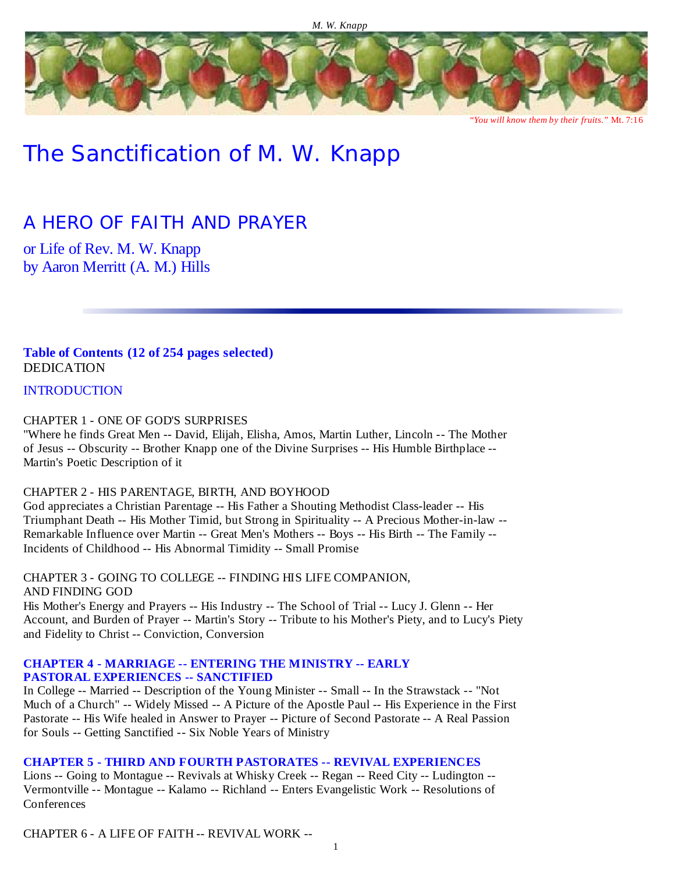

*"You will know them by their fruits."* Mt. 7:16

# The Sanctification of M. W. Knapp

# *A HERO OF FAITH AND PRAYER*

or Life of Rev. M. W. Knapp by Aaron Merritt (A. M.) Hills

**Table of Contents (12 of 254 pages selected)** DEDICATION

**INTRODUCTION** 

CHAPTER 1 - ONE OF GOD'S SURPRISES

"Where he finds Great Men -- David, Elijah, Elisha, Amos, Martin Luther, Lincoln -- The Mother of Jesus -- Obscurity -- Brother Knapp one of the Divine Surprises -- His Humble Birthplace -- Martin's Poetic Description of it

CHAPTER 2 - HIS PARENTAGE, BIRTH, AND BOYHOOD

God appreciates a Christian Parentage -- His Father a Shouting Methodist Class-leader -- His Triumphant Death -- His Mother Timid, but Strong in Spirituality -- A Precious Mother-in-law -- Remarkable Influence over Martin -- Great Men's Mothers -- Boys -- His Birth -- The Family -- Incidents of Childhood -- His Abnormal Timidity -- Small Promise

CHAPTER 3 - GOING TO COLLEGE -- FINDING HIS LIFE COMPANION, AND FINDING GOD His Mother's Energy and Prayers -- His Industry -- The School of Trial -- Lucy J. Glenn -- Her Account, and Burden of Prayer -- Martin's Story -- Tribute to his Mother's Piety, and to Lucy's Piety and Fidelity to Christ -- Conviction, Conversion

### **CHAPTER 4 - MARRIAGE -- ENTERING THE MINISTRY -- EARLY PASTORAL EXPERIENCES -- SANCTIFIED**

In College -- Married -- Description of the Young Minister -- Small -- In the Strawstack -- "Not Much of a Church" -- Widely Missed -- A Picture of the Apostle Paul -- His Experience in the First Pastorate -- His Wife healed in Answer to Prayer -- Picture of Second Pastorate -- A Real Passion for Souls -- Getting Sanctified -- Six Noble Years of Ministry

**CHAPTER 5 - THIRD AND FOURTH PASTORATES -- REVIVAL EXPERIENCES**

Lions -- Going to Montague -- Revivals at Whisky Creek -- Regan -- Reed City -- Ludington -- Vermontville -- Montague -- Kalamo -- Richland -- Enters Evangelistic Work -- Resolutions of **Conferences** 

CHAPTER 6 - A LIFE OF FAITH -- REVIVAL WORK --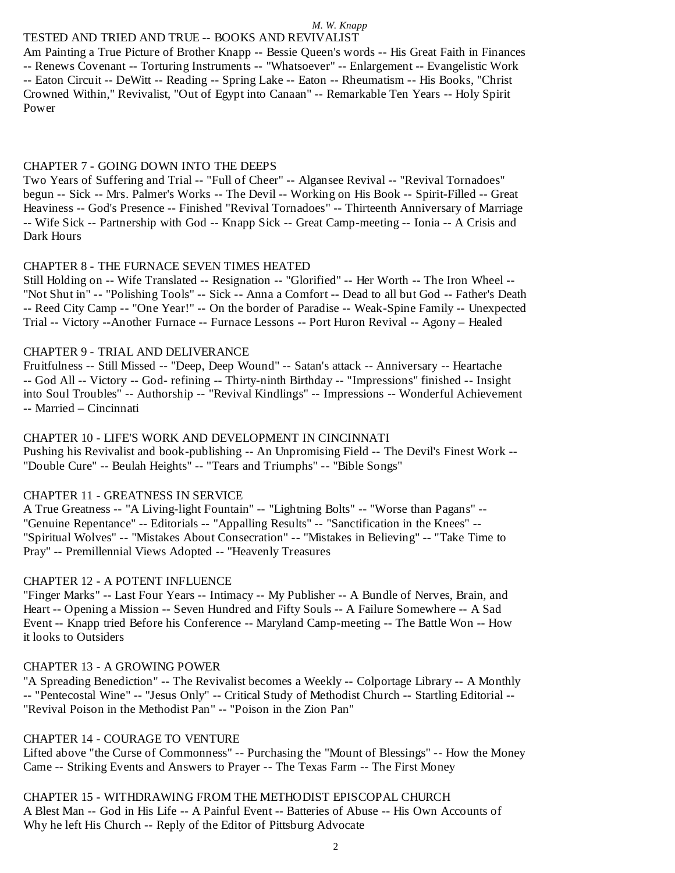### TESTED AND TRIED AND TRUE -- BOOKS AND REVIVALIST

Am Painting a True Picture of Brother Knapp -- Bessie Queen's words -- His Great Faith in Finances -- Renews Covenant -- Torturing Instruments -- "Whatsoever" -- Enlargement -- Evangelistic Work -- Eaton Circuit -- DeWitt -- Reading -- Spring Lake -- Eaton -- Rheumatism -- His Books, "Christ Crowned Within," Revivalist, "Out of Egypt into Canaan" -- Remarkable Ten Years -- Holy Spirit Power

#### CHAPTER 7 - GOING DOWN INTO THE DEEPS

Two Years of Suffering and Trial -- "Full of Cheer" -- Algansee Revival -- "Revival Tornadoes" begun -- Sick -- Mrs. Palmer's Works -- The Devil -- Working on His Book -- Spirit-Filled -- Great Heaviness -- God's Presence -- Finished "Revival Tornadoes" -- Thirteenth Anniversary of Marriage -- Wife Sick -- Partnership with God -- Knapp Sick -- Great Camp-meeting -- Ionia -- A Crisis and Dark Hours

#### CHAPTER 8 - THE FURNACE SEVEN TIMES HEATED

Still Holding on -- Wife Translated -- Resignation -- "Glorified" -- Her Worth -- The Iron Wheel -- "Not Shut in" -- "Polishing Tools" -- Sick -- Anna a Comfort -- Dead to all but God -- Father's Death -- Reed City Camp -- "One Year!" -- On the border of Paradise -- Weak-Spine Family -- Unexpected Trial -- Victory --Another Furnace -- Furnace Lessons -- Port Huron Revival -- Agony – Healed

#### CHAPTER 9 - TRIAL AND DELIVERANCE

Fruitfulness -- Still Missed -- "Deep, Deep Wound" -- Satan's attack -- Anniversary -- Heartache -- God All -- Victory -- God- refining -- Thirty-ninth Birthday -- "Impressions" finished -- Insight into Soul Troubles" -- Authorship -- "Revival Kindlings" -- Impressions -- Wonderful Achievement -- Married – Cincinnati

CHAPTER 10 - LIFE'S WORK AND DEVELOPMENT IN CINCINNATI Pushing his Revivalist and book-publishing -- An Unpromising Field -- The Devil's Finest Work -- "Double Cure" -- Beulah Heights" -- "Tears and Triumphs" -- "Bible Songs"

#### CHAPTER 11 - GREATNESS IN SERVICE

A True Greatness -- "A Living-light Fountain" -- "Lightning Bolts" -- "Worse than Pagans" -- "Genuine Repentance" -- Editorials -- "Appalling Results" -- "Sanctification in the Knees" -- "Spiritual Wolves" -- "Mistakes About Consecration" -- "Mistakes in Believing" -- "Take Time to Pray" -- Premillennial Views Adopted -- "Heavenly Treasures

#### CHAPTER 12 - A POTENT INFLUENCE

"Finger Marks" -- Last Four Years -- Intimacy -- My Publisher -- A Bundle of Nerves, Brain, and Heart -- Opening a Mission -- Seven Hundred and Fifty Souls -- A Failure Somewhere -- A Sad Event -- Knapp tried Before his Conference -- Maryland Camp-meeting -- The Battle Won -- How it looks to Outsiders

### CHAPTER 13 - A GROWING POWER

"A Spreading Benediction" -- The Revivalist becomes a Weekly -- Colportage Library -- A Monthly -- "Pentecostal Wine" -- "Jesus Only" -- Critical Study of Methodist Church -- Startling Editorial -- "Revival Poison in the Methodist Pan" -- "Poison in the Zion Pan"

### CHAPTER 14 - COURAGE TO VENTURE

Lifted above "the Curse of Commonness" -- Purchasing the "Mount of Blessings" -- How the Money Came -- Striking Events and Answers to Prayer -- The Texas Farm -- The First Money

CHAPTER 15 - WITHDRAWING FROM THE METHODIST EPISCOPAL CHURCH A Blest Man -- God in His Life -- A Painful Event -- Batteries of Abuse -- His Own Accounts of Why he left His Church -- Reply of the Editor of Pittsburg Advocate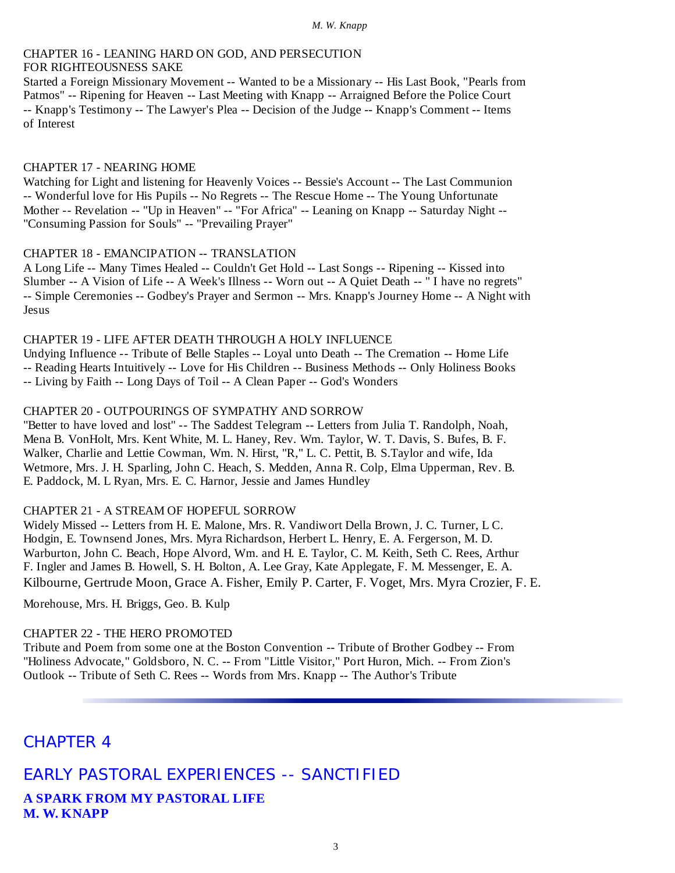### CHAPTER 16 - LEANING HARD ON GOD, AND PERSECUTION FOR RIGHTEOUSNESS SAKE

Started a Foreign Missionary Movement -- Wanted to be a Missionary -- His Last Book, "Pearls from Patmos" -- Ripening for Heaven -- Last Meeting with Knapp -- Arraigned Before the Police Court -- Knapp's Testimony -- The Lawyer's Plea -- Decision of the Judge -- Knapp's Comment -- Items of Interest

#### CHAPTER 17 - NEARING HOME

Watching for Light and listening for Heavenly Voices -- Bessie's Account -- The Last Communion -- Wonderful love for His Pupils -- No Regrets -- The Rescue Home -- The Young Unfortunate Mother -- Revelation -- "Up in Heaven" -- "For Africa" -- Leaning on Knapp -- Saturday Night -- "Consuming Passion for Souls" -- "Prevailing Prayer"

# CHAPTER 18 - EMANCIPATION -- TRANSLATION

A Long Life -- Many Times Healed -- Couldn't Get Hold -- Last Songs -- Ripening -- Kissed into Slumber -- A Vision of Life -- A Week's Illness -- Worn out -- A Quiet Death -- " I have no regrets" -- Simple Ceremonies -- Godbey's Prayer and Sermon -- Mrs. Knapp's Journey Home -- A Night with Jesus

### CHAPTER 19 - LIFE AFTER DEATH THROUGH A HOLY INFLUENCE

Undying Influence -- Tribute of Belle Staples -- Loyal unto Death -- The Cremation -- Home Life -- Reading Hearts Intuitively -- Love for His Children -- Business Methods -- Only Holiness Books -- Living by Faith -- Long Days of Toil -- A Clean Paper -- God's Wonders

# CHAPTER 20 - OUTPOURINGS OF SYMPATHY AND SORROW

"Better to have loved and lost" -- The Saddest Telegram -- Letters from Julia T. Randolph, Noah, Mena B. VonHolt, Mrs. Kent White, M. L. Haney, Rev. Wm. Taylor, W. T. Davis, S. Bufes, B. F. Walker, Charlie and Lettie Cowman, Wm. N. Hirst, "R," L. C. Pettit, B. S.Taylor and wife, Ida Wetmore, Mrs. J. H. Sparling, John C. Heach, S. Medden, Anna R. Colp, Elma Upperman, Rev. B. E. Paddock, M. L Ryan, Mrs. E. C. Harnor, Jessie and James Hundley

### CHAPTER 21 - A STREAM OF HOPEFUL SORROW

Widely Missed -- Letters from H. E. Malone, Mrs. R. Vandiwort Della Brown, J. C. Turner, L C. Hodgin, E. Townsend Jones, Mrs. Myra Richardson, Herbert L. Henry, E. A. Fergerson, M. D. Warburton, John C. Beach, Hope Alvord, Wm. and H. E. Taylor, C. M. Keith, Seth C. Rees, Arthur F. Ingler and James B. Howell, S. H. Bolton, A. Lee Gray, Kate Applegate, F. M. Messenger, E. A. Kilbourne, Gertrude Moon, Grace A. Fisher, Emily P. Carter, F. Voget, Mrs. Myra Crozier, F. E.

Morehouse, Mrs. H. Briggs, Geo. B. Kulp

# CHAPTER 22 - THE HERO PROMOTED

Tribute and Poem from some one at the Boston Convention -- Tribute of Brother Godbey -- From "Holiness Advocate," Goldsboro, N. C. -- From "Little Visitor," Port Huron, Mich. -- From Zion's Outlook -- Tribute of Seth C. Rees -- Words from Mrs. Knapp -- The Author's Tribute

# CHAPTER 4

# EARLY PASTORAL EXPERIENCES -- SANCTIFIED **A SPARK FROM MY PASTORAL LIFE**

**M. W. KNAPP**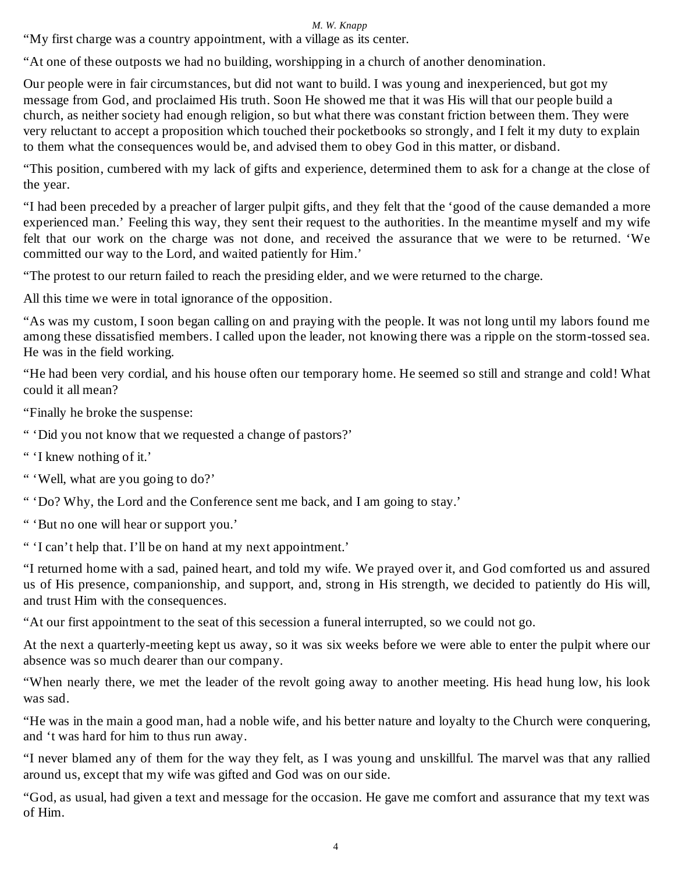"My first charge was a country appointment, with a village as its center.

"At one of these outposts we had no building, worshipping in a church of another denomination.

Our people were in fair circumstances, but did not want to build. I was young and inexperienced, but got my message from God, and proclaimed His truth. Soon He showed me that it was His will that our people build a church, as neither society had enough religion, so but what there was constant friction between them. They were very reluctant to accept a proposition which touched their pocketbooks so strongly, and I felt it my duty to explain to them what the consequences would be, and advised them to obey God in this matter, or disband.

"This position, cumbered with my lack of gifts and experience, determined them to ask for a change at the close of the year.

"I had been preceded by a preacher of larger pulpit gifts, and they felt that the 'good of the cause demanded a more experienced man.' Feeling this way, they sent their request to the authorities. In the meantime myself and my wife felt that our work on the charge was not done, and received the assurance that we were to be returned. 'We committed our way to the Lord, and waited patiently for Him.'

"The protest to our return failed to reach the presiding elder, and we were returned to the charge.

All this time we were in total ignorance of the opposition.

"As was my custom, I soon began calling on and praying with the people. It was not long until my labors found me among these dissatisfied members. I called upon the leader, not knowing there was a ripple on the storm-tossed sea. He was in the field working.

"He had been very cordial, and his house often our temporary home. He seemed so still and strange and cold! What could it all mean?

"Finally he broke the suspense:

" 'Did you not know that we requested a change of pastors?'

" 'I knew nothing of it.'

" 'Well, what are you going to do?'

" 'Do? Why, the Lord and the Conference sent me back, and I am going to stay.'

" 'But no one will hear or support you.'

" 'I can't help that. I'll be on hand at my next appointment.'

"I returned home with a sad, pained heart, and told my wife. We prayed over it, and God comforted us and assured us of His presence, companionship, and support, and, strong in His strength, we decided to patiently do His will, and trust Him with the consequences.

"At our first appointment to the seat of this secession a funeral interrupted, so we could not go.

At the next a quarterly-meeting kept us away, so it was six weeks before we were able to enter the pulpit where our absence was so much dearer than our company.

"When nearly there, we met the leader of the revolt going away to another meeting. His head hung low, his look was sad.

"He was in the main a good man, had a noble wife, and his better nature and loyalty to the Church were conquering, and 't was hard for him to thus run away.

"I never blamed any of them for the way they felt, as I was young and unskillful. The marvel was that any rallied around us, except that my wife was gifted and God was on our side.

"God, as usual, had given a text and message for the occasion. He gave me comfort and assurance that my text was of Him.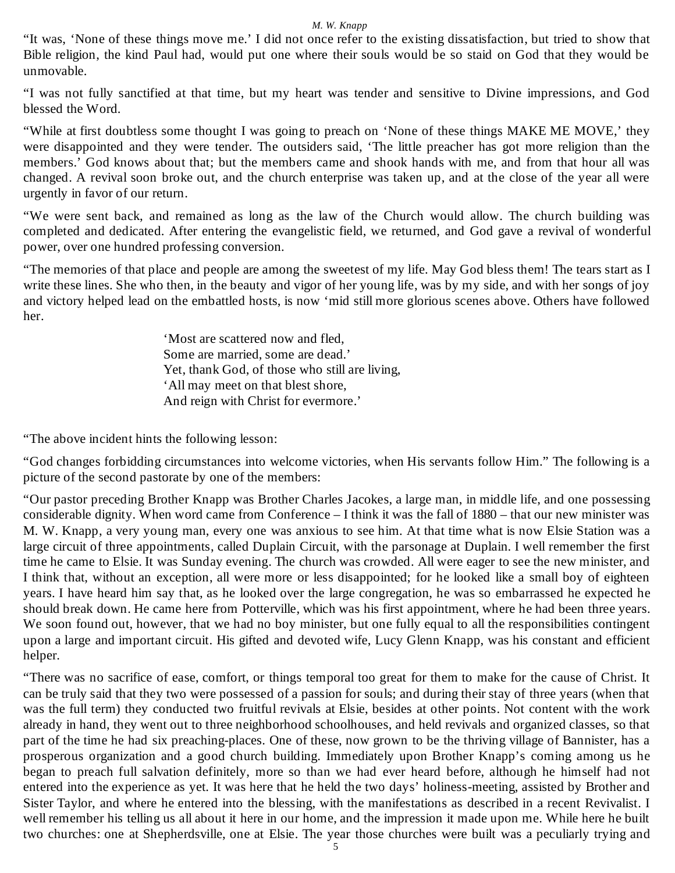"It was, 'None of these things move me.' I did not once refer to the existing dissatisfaction, but tried to show that Bible religion, the kind Paul had, would put one where their souls would be so staid on God that they would be unmovable.

"I was not fully sanctified at that time, but my heart was tender and sensitive to Divine impressions, and God blessed the Word.

"While at first doubtless some thought I was going to preach on 'None of these things MAKE ME MOVE,' they were disappointed and they were tender. The outsiders said, 'The little preacher has got more religion than the members.' God knows about that; but the members came and shook hands with me, and from that hour all was changed. A revival soon broke out, and the church enterprise was taken up, and at the close of the year all were urgently in favor of our return.

"We were sent back, and remained as long as the law of the Church would allow. The church building was completed and dedicated. After entering the evangelistic field, we returned, and God gave a revival of wonderful power, over one hundred professing conversion.

"The memories of that place and people are among the sweetest of my life. May God bless them! The tears start as I write these lines. She who then, in the beauty and vigor of her young life, was by my side, and with her songs of joy and victory helped lead on the embattled hosts, is now 'mid still more glorious scenes above. Others have followed her.

> 'Most are scattered now and fled, Some are married, some are dead.' Yet, thank God, of those who still are living, 'All may meet on that blest shore, And reign with Christ for evermore.'

"The above incident hints the following lesson:

"God changes forbidding circumstances into welcome victories, when His servants follow Him." The following is a picture of the second pastorate by one of the members:

"Our pastor preceding Brother Knapp was Brother Charles Jacokes, a large man, in middle life, and one possessing considerable dignity. When word came from Conference – I think it was the fall of 1880 – that our new minister was M. W. Knapp, a very young man, every one was anxious to see him. At that time what is now Elsie Station was a large circuit of three appointments, called Duplain Circuit, with the parsonage at Duplain. I well remember the first time he came to Elsie. It was Sunday evening. The church was crowded. All were eager to see the new minister, and I think that, without an exception, all were more or less disappointed; for he looked like a small boy of eighteen years. I have heard him say that, as he looked over the large congregation, he was so embarrassed he expected he should break down. He came here from Potterville, which was his first appointment, where he had been three years. We soon found out, however, that we had no boy minister, but one fully equal to all the responsibilities contingent upon a large and important circuit. His gifted and devoted wife, Lucy Glenn Knapp, was his constant and efficient helper.

"There was no sacrifice of ease, comfort, or things temporal too great for them to make for the cause of Christ. It can be truly said that they two were possessed of a passion for souls; and during their stay of three years (when that was the full term) they conducted two fruitful revivals at Elsie, besides at other points. Not content with the work already in hand, they went out to three neighborhood schoolhouses, and held revivals and organized classes, so that part of the time he had six preaching-places. One of these, now grown to be the thriving village of Bannister, has a prosperous organization and a good church building. Immediately upon Brother Knapp's coming among us he began to preach full salvation definitely, more so than we had ever heard before, although he himself had not entered into the experience as yet. It was here that he held the two days' holiness-meeting, assisted by Brother and Sister Taylor, and where he entered into the blessing, with the manifestations as described in a recent Revivalist. I well remember his telling us all about it here in our home, and the impression it made upon me. While here he built two churches: one at Shepherdsville, one at Elsie. The year those churches were built was a peculiarly trying and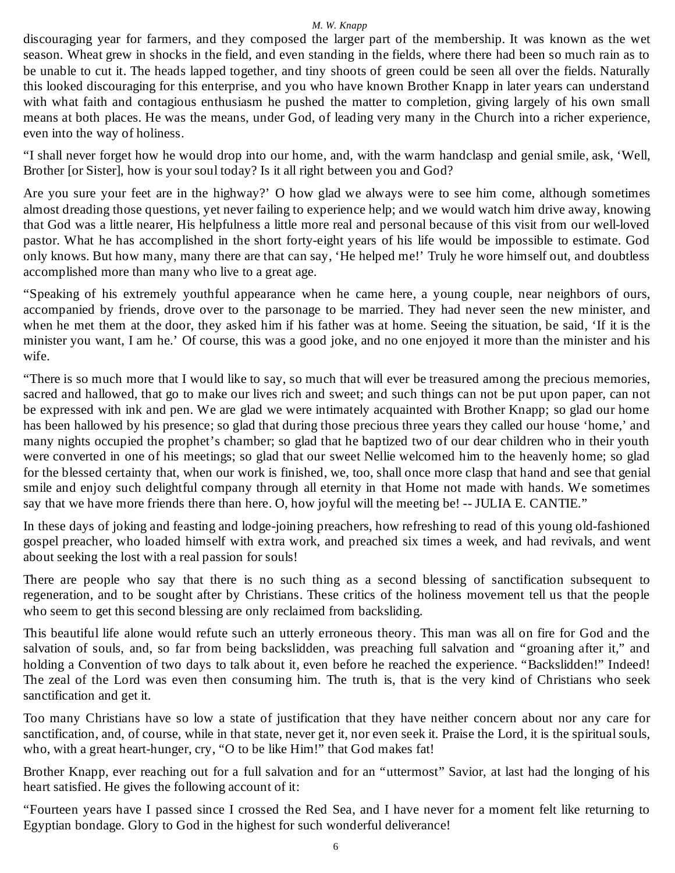discouraging year for farmers, and they composed the larger part of the membership. It was known as the wet season. Wheat grew in shocks in the field, and even standing in the fields, where there had been so much rain as to be unable to cut it. The heads lapped together, and tiny shoots of green could be seen all over the fields. Naturally this looked discouraging for this enterprise, and you who have known Brother Knapp in later years can understand with what faith and contagious enthusiasm he pushed the matter to completion, giving largely of his own small means at both places. He was the means, under God, of leading very many in the Church into a richer experience, even into the way of holiness.

"I shall never forget how he would drop into our home, and, with the warm handclasp and genial smile, ask, 'Well, Brother [or Sister], how is your soul today? Is it all right between you and God?

Are you sure your feet are in the highway?' O how glad we always were to see him come, although sometimes almost dreading those questions, yet never failing to experience help; and we would watch him drive away, knowing that God was a little nearer, His helpfulness a little more real and personal because of this visit from our well-loved pastor. What he has accomplished in the short forty-eight years of his life would be impossible to estimate. God only knows. But how many, many there are that can say, 'He helped me!' Truly he wore himself out, and doubtless accomplished more than many who live to a great age.

"Speaking of his extremely youthful appearance when he came here, a young couple, near neighbors of ours, accompanied by friends, drove over to the parsonage to be married. They had never seen the new minister, and when he met them at the door, they asked him if his father was at home. Seeing the situation, be said, 'If it is the minister you want, I am he.' Of course, this was a good joke, and no one enjoyed it more than the minister and his wife.

"There is so much more that I would like to say, so much that will ever be treasured among the precious memories, sacred and hallowed, that go to make our lives rich and sweet; and such things can not be put upon paper, can not be expressed with ink and pen. We are glad we were intimately acquainted with Brother Knapp; so glad our home has been hallowed by his presence; so glad that during those precious three years they called our house 'home,' and many nights occupied the prophet's chamber; so glad that he baptized two of our dear children who in their youth were converted in one of his meetings; so glad that our sweet Nellie welcomed him to the heavenly home; so glad for the blessed certainty that, when our work is finished, we, too, shall once more clasp that hand and see that genial smile and enjoy such delightful company through all eternity in that Home not made with hands. We sometimes say that we have more friends there than here. O, how joyful will the meeting be! -- JULIA E. CANTIE."

In these days of joking and feasting and lodge-joining preachers, how refreshing to read of this young old-fashioned gospel preacher, who loaded himself with extra work, and preached six times a week, and had revivals, and went about seeking the lost with a real passion for souls!

There are people who say that there is no such thing as a second blessing of sanctification subsequent to regeneration, and to be sought after by Christians. These critics of the holiness movement tell us that the people who seem to get this second blessing are only reclaimed from backsliding.

This beautiful life alone would refute such an utterly erroneous theory. This man was all on fire for God and the salvation of souls, and, so far from being backslidden, was preaching full salvation and "groaning after it," and holding a Convention of two days to talk about it, even before he reached the experience. "Backslidden!" Indeed! The zeal of the Lord was even then consuming him. The truth is, that is the very kind of Christians who seek sanctification and get it.

Too many Christians have so low a state of justification that they have neither concern about nor any care for sanctification, and, of course, while in that state, never get it, nor even seek it. Praise the Lord, it is the spiritual souls, who, with a great heart-hunger, cry, "O to be like Him!" that God makes fat!

Brother Knapp, ever reaching out for a full salvation and for an "uttermost" Savior, at last had the longing of his heart satisfied. He gives the following account of it:

"Fourteen years have I passed since I crossed the Red Sea, and I have never for a moment felt like returning to Egyptian bondage. Glory to God in the highest for such wonderful deliverance!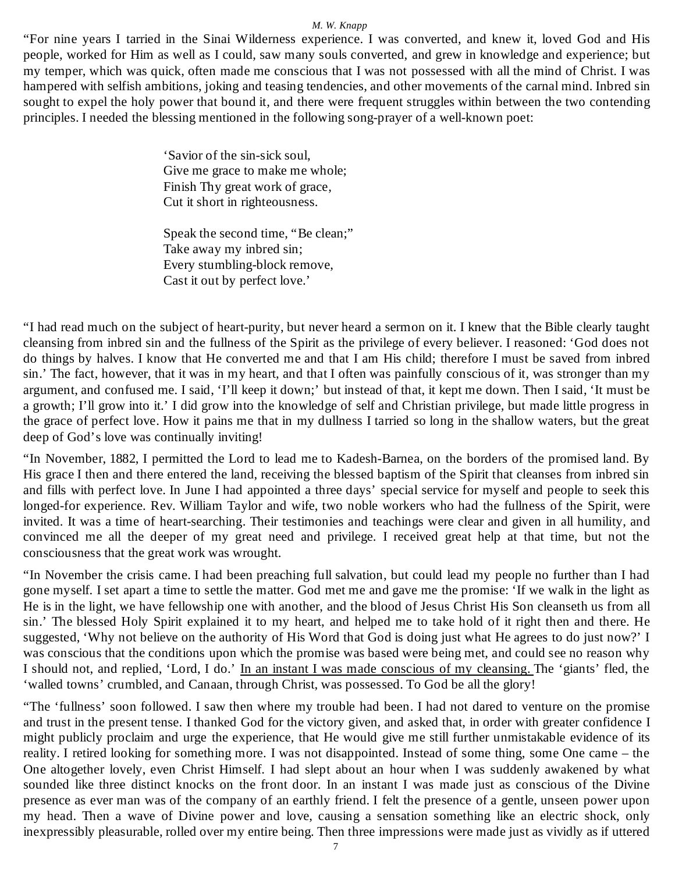"For nine years I tarried in the Sinai Wilderness experience. I was converted, and knew it, loved God and His people, worked for Him as well as I could, saw many souls converted, and grew in knowledge and experience; but my temper, which was quick, often made me conscious that I was not possessed with all the mind of Christ. I was hampered with selfish ambitions, joking and teasing tendencies, and other movements of the carnal mind. Inbred sin sought to expel the holy power that bound it, and there were frequent struggles within between the two contending principles. I needed the blessing mentioned in the following song-prayer of a well-known poet:

> 'Savior of the sin-sick soul, Give me grace to make me whole; Finish Thy great work of grace, Cut it short in righteousness.

Speak the second time, "Be clean;" Take away my inbred sin; Every stumbling-block remove, Cast it out by perfect love.'

"I had read much on the subject of heart-purity, but never heard a sermon on it. I knew that the Bible clearly taught cleansing from inbred sin and the fullness of the Spirit as the privilege of every believer. I reasoned: 'God does not do things by halves. I know that He converted me and that I am His child; therefore I must be saved from inbred sin.' The fact, however, that it was in my heart, and that I often was painfully conscious of it, was stronger than my argument, and confused me. I said, 'I'll keep it down;' but instead of that, it kept me down. Then I said, 'It must be a growth; I'll grow into it.' I did grow into the knowledge of self and Christian privilege, but made little progress in the grace of perfect love. How it pains me that in my dullness I tarried so long in the shallow waters, but the great deep of God's love was continually inviting!

"In November, 1882, I permitted the Lord to lead me to Kadesh-Barnea, on the borders of the promised land. By His grace I then and there entered the land, receiving the blessed baptism of the Spirit that cleanses from inbred sin and fills with perfect love. In June I had appointed a three days' special service for myself and people to seek this longed-for experience. Rev. William Taylor and wife, two noble workers who had the fullness of the Spirit, were invited. It was a time of heart-searching. Their testimonies and teachings were clear and given in all humility, and convinced me all the deeper of my great need and privilege. I received great help at that time, but not the consciousness that the great work was wrought.

"In November the crisis came. I had been preaching full salvation, but could lead my people no further than I had gone myself. I set apart a time to settle the matter. God met me and gave me the promise: 'If we walk in the light as He is in the light, we have fellowship one with another, and the blood of Jesus Christ His Son cleanseth us from all sin.' The blessed Holy Spirit explained it to my heart, and helped me to take hold of it right then and there. He suggested, 'Why not believe on the authority of His Word that God is doing just what He agrees to do just now?' I was conscious that the conditions upon which the promise was based were being met, and could see no reason why I should not, and replied, 'Lord, I do.' In an instant I was made conscious of my cleansing. The 'giants' fled, the 'walled towns' crumbled, and Canaan, through Christ, was possessed. To God be all the glory!

"The 'fullness' soon followed. I saw then where my trouble had been. I had not dared to venture on the promise and trust in the present tense. I thanked God for the victory given, and asked that, in order with greater confidence I might publicly proclaim and urge the experience, that He would give me still further unmistakable evidence of its reality. I retired looking for something more. I was not disappointed. Instead of some thing, some One came – the One altogether lovely, even Christ Himself. I had slept about an hour when I was suddenly awakened by what sounded like three distinct knocks on the front door. In an instant I was made just as conscious of the Divine presence as ever man was of the company of an earthly friend. I felt the presence of a gentle, unseen power upon my head. Then a wave of Divine power and love, causing a sensation something like an electric shock, only inexpressibly pleasurable, rolled over my entire being. Then three impressions were made just as vividly as if uttered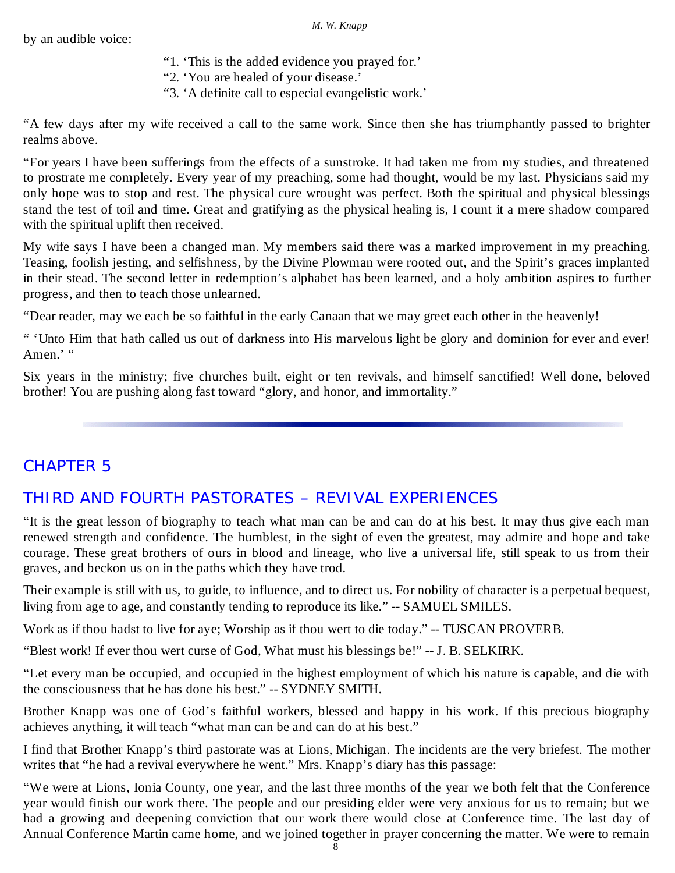by an audible voice:

- "1. 'This is the added evidence you prayed for.'
- "2. 'You are healed of your disease.'
- "3. 'A definite call to especial evangelistic work.'

"A few days after my wife received a call to the same work. Since then she has triumphantly passed to brighter realms above.

"For years I have been sufferings from the effects of a sunstroke. It had taken me from my studies, and threatened to prostrate me completely. Every year of my preaching, some had thought, would be my last. Physicians said my only hope was to stop and rest. The physical cure wrought was perfect. Both the spiritual and physical blessings stand the test of toil and time. Great and gratifying as the physical healing is, I count it a mere shadow compared with the spiritual uplift then received.

My wife says I have been a changed man. My members said there was a marked improvement in my preaching. Teasing, foolish jesting, and selfishness, by the Divine Plowman were rooted out, and the Spirit's graces implanted in their stead. The second letter in redemption's alphabet has been learned, and a holy ambition aspires to further progress, and then to teach those unlearned.

"Dear reader, may we each be so faithful in the early Canaan that we may greet each other in the heavenly!

" 'Unto Him that hath called us out of darkness into His marvelous light be glory and dominion for ever and ever! Amen.' "

Six years in the ministry; five churches built, eight or ten revivals, and himself sanctified! Well done, beloved brother! You are pushing along fast toward "glory, and honor, and immortality."

# CHAPTER 5

# THIRD AND FOURTH PASTORATES – REVIVAL EXPERIENCES

"It is the great lesson of biography to teach what man can be and can do at his best. It may thus give each man renewed strength and confidence. The humblest, in the sight of even the greatest, may admire and hope and take courage. These great brothers of ours in blood and lineage, who live a universal life, still speak to us from their graves, and beckon us on in the paths which they have trod.

Their example is still with us, to guide, to influence, and to direct us. For nobility of character is a perpetual bequest, living from age to age, and constantly tending to reproduce its like." -- SAMUEL SMILES.

Work as if thou hadst to live for aye; Worship as if thou wert to die today." -- TUSCAN PROVERB.

"Blest work! If ever thou wert curse of God, What must his blessings be!" -- J. B. SELKIRK.

"Let every man be occupied, and occupied in the highest employment of which his nature is capable, and die with the consciousness that he has done his best." -- SYDNEY SMITH.

Brother Knapp was one of God's faithful workers, blessed and happy in his work. If this precious biography achieves anything, it will teach "what man can be and can do at his best."

I find that Brother Knapp's third pastorate was at Lions, Michigan. The incidents are the very briefest. The mother writes that "he had a revival everywhere he went." Mrs. Knapp's diary has this passage:

"We were at Lions, Ionia County, one year, and the last three months of the year we both felt that the Conference year would finish our work there. The people and our presiding elder were very anxious for us to remain; but we had a growing and deepening conviction that our work there would close at Conference time. The last day of Annual Conference Martin came home, and we joined together in prayer concerning the matter. We were to remain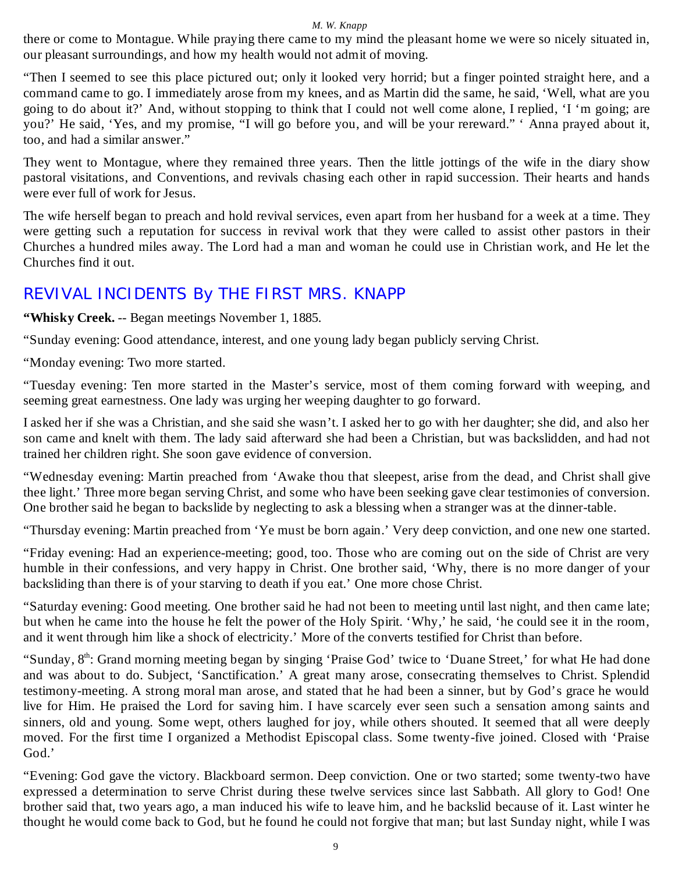there or come to Montague. While praying there came to my mind the pleasant home we were so nicely situated in, our pleasant surroundings, and how my health would not admit of moving.

"Then I seemed to see this place pictured out; only it looked very horrid; but a finger pointed straight here, and a command came to go. I immediately arose from my knees, and as Martin did the same, he said, 'Well, what are you going to do about it?' And, without stopping to think that I could not well come alone, I replied, 'I 'm going; are you?' He said, 'Yes, and my promise, "I will go before you, and will be your rereward." ' Anna prayed about it, too, and had a similar answer.'

They went to Montague, where they remained three years. Then the little jottings of the wife in the diary show pastoral visitations, and Conventions, and revivals chasing each other in rapid succession. Their hearts and hands were ever full of work for Jesus.

The wife herself began to preach and hold revival services, even apart from her husband for a week at a time. They were getting such a reputation for success in revival work that they were called to assist other pastors in their Churches a hundred miles away. The Lord had a man and woman he could use in Christian work, and He let the Churches find it out.

# REVIVAL INCIDENTS By THE FIRST MRS. KNAPP

**"Whisky Creek.** -- Began meetings November 1, 1885.

"Sunday evening: Good attendance, interest, and one young lady began publicly serving Christ.

"Monday evening: Two more started.

"Tuesday evening: Ten more started in the Master's service, most of them coming forward with weeping, and seeming great earnestness. One lady was urging her weeping daughter to go forward.

I asked her if she was a Christian, and she said she wasn't. I asked her to go with her daughter; she did, and also her son came and knelt with them. The lady said afterward she had been a Christian, but was backslidden, and had not trained her children right. She soon gave evidence of conversion.

"Wednesday evening: Martin preached from 'Awake thou that sleepest, arise from the dead, and Christ shall give thee light.' Three more began serving Christ, and some who have been seeking gave clear testimonies of conversion. One brother said he began to backslide by neglecting to ask a blessing when a stranger was at the dinner-table.

"Thursday evening: Martin preached from 'Ye must be born again.' Very deep conviction, and one new one started.

"Friday evening: Had an experience-meeting; good, too. Those who are coming out on the side of Christ are very humble in their confessions, and very happy in Christ. One brother said, 'Why, there is no more danger of your backsliding than there is of your starving to death if you eat.' One more chose Christ.

"Saturday evening: Good meeting. One brother said he had not been to meeting until last night, and then came late; but when he came into the house he felt the power of the Holy Spirit. 'Why,' he said, 'he could see it in the room, and it went through him like a shock of electricity.' More of the converts testified for Christ than before.

"Sunday, 8<sup>th</sup>: Grand morning meeting began by singing 'Praise God' twice to 'Duane Street,' for what He had done and was about to do. Subject, 'Sanctification.' A great many arose, consecrating themselves to Christ. Splendid testimony-meeting. A strong moral man arose, and stated that he had been a sinner, but by God's grace he would live for Him. He praised the Lord for saving him. I have scarcely ever seen such a sensation among saints and sinners, old and young. Some wept, others laughed for joy, while others shouted. It seemed that all were deeply moved. For the first time I organized a Methodist Episcopal class. Some twenty-five joined. Closed with 'Praise God.'

"Evening: God gave the victory. Blackboard sermon. Deep conviction. One or two started; some twenty-two have expressed a determination to serve Christ during these twelve services since last Sabbath. All glory to God! One brother said that, two years ago, a man induced his wife to leave him, and he backslid because of it. Last winter he thought he would come back to God, but he found he could not forgive that man; but last Sunday night, while I was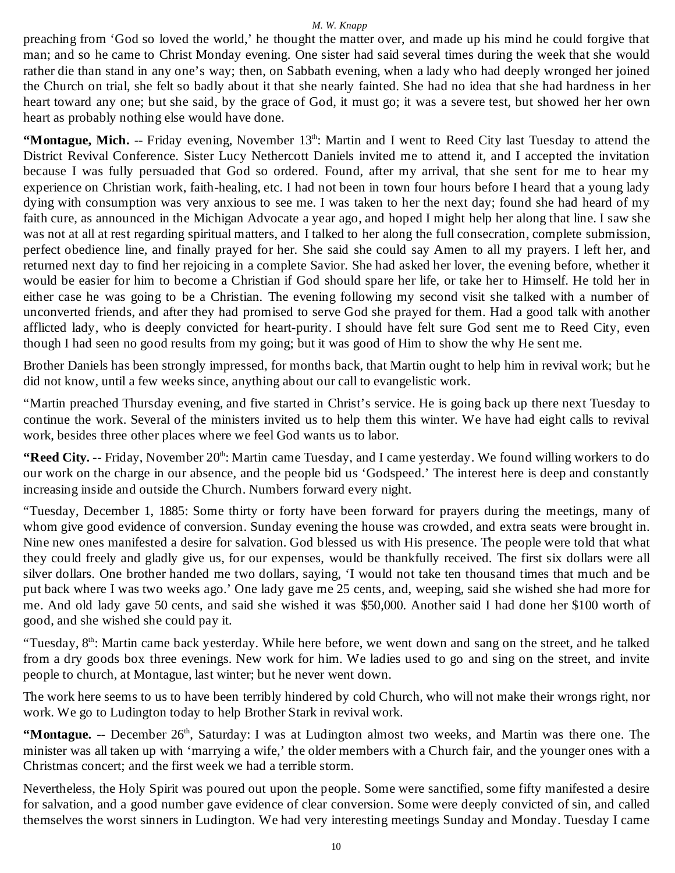preaching from 'God so loved the world,' he thought the matter over, and made up his mind he could forgive that man; and so he came to Christ Monday evening. One sister had said several times during the week that she would rather die than stand in any one's way; then, on Sabbath evening, when a lady who had deeply wronged her joined the Church on trial, she felt so badly about it that she nearly fainted. She had no idea that she had hardness in her heart toward any one; but she said, by the grace of God, it must go; it was a severe test, but showed her her own heart as probably nothing else would have done.

"Montague, Mich. -- Friday evening, November 13<sup>th</sup>: Martin and I went to Reed City last Tuesday to attend the District Revival Conference. Sister Lucy Nethercott Daniels invited me to attend it, and I accepted the invitation because I was fully persuaded that God so ordered. Found, after my arrival, that she sent for me to hear my experience on Christian work, faith-healing, etc. I had not been in town four hours before I heard that a young lady dying with consumption was very anxious to see me. I was taken to her the next day; found she had heard of my faith cure, as announced in the Michigan Advocate a year ago, and hoped I might help her along that line. I saw she was not at all at rest regarding spiritual matters, and I talked to her along the full consecration, complete submission, perfect obedience line, and finally prayed for her. She said she could say Amen to all my prayers. I left her, and returned next day to find her rejoicing in a complete Savior. She had asked her lover, the evening before, whether it would be easier for him to become a Christian if God should spare her life, or take her to Himself. He told her in either case he was going to be a Christian. The evening following my second visit she talked with a number of unconverted friends, and after they had promised to serve God she prayed for them. Had a good talk with another afflicted lady, who is deeply convicted for heart-purity. I should have felt sure God sent me to Reed City, even though I had seen no good results from my going; but it was good of Him to show the why He sent me.

Brother Daniels has been strongly impressed, for months back, that Martin ought to help him in revival work; but he did not know, until a few weeks since, anything about our call to evangelistic work.

"Martin preached Thursday evening, and five started in Christ's service. He is going back up there next Tuesday to continue the work. Several of the ministers invited us to help them this winter. We have had eight calls to revival work, besides three other places where we feel God wants us to labor.

**"Reed City.** -- Friday, November 20<sup>th</sup>: Martin came Tuesday, and I came yesterday. We found willing workers to do our work on the charge in our absence, and the people bid us 'Godspeed.' The interest here is deep and constantly increasing inside and outside the Church. Numbers forward every night.

"Tuesday, December 1, 1885: Some thirty or forty have been forward for prayers during the meetings, many of whom give good evidence of conversion. Sunday evening the house was crowded, and extra seats were brought in. Nine new ones manifested a desire for salvation. God blessed us with His presence. The people were told that what they could freely and gladly give us, for our expenses, would be thankfully received. The first six dollars were all silver dollars. One brother handed me two dollars, saying, 'I would not take ten thousand times that much and be put back where I was two weeks ago.' One lady gave me 25 cents, and, weeping, said she wished she had more for me. And old lady gave 50 cents, and said she wished it was \$50,000. Another said I had done her \$100 worth of good, and she wished she could pay it.

"Tuesday,  $8<sup>th</sup>$ : Martin came back yesterday. While here before, we went down and sang on the street, and he talked from a dry goods box three evenings. New work for him. We ladies used to go and sing on the street, and invite people to church, at Montague, last winter; but he never went down.

The work here seems to us to have been terribly hindered by cold Church, who will not make their wrongs right, nor work. We go to Ludington today to help Brother Stark in revival work.

"Montague. -- December 26<sup>th</sup>, Saturday: I was at Ludington almost two weeks, and Martin was there one. The minister was all taken up with 'marrying a wife,' the older members with a Church fair, and the younger ones with a Christmas concert; and the first week we had a terrible storm.

Nevertheless, the Holy Spirit was poured out upon the people. Some were sanctified, some fifty manifested a desire for salvation, and a good number gave evidence of clear conversion. Some were deeply convicted of sin, and called themselves the worst sinners in Ludington. We had very interesting meetings Sunday and Monday. Tuesday I came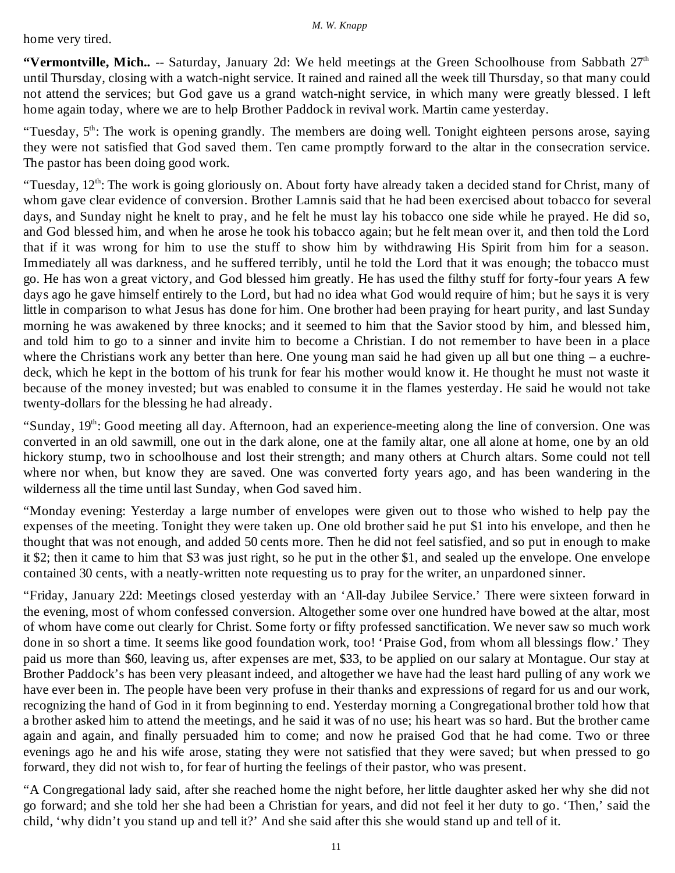home very tired.

**"Vermontville, Mich..** -- Saturday, January 2d: We held meetings at the Green Schoolhouse from Sabbath 27<sup>th</sup> until Thursday, closing with a watch-night service. It rained and rained all the week till Thursday, so that many could not attend the services; but God gave us a grand watch-night service, in which many were greatly blessed. I left home again today, where we are to help Brother Paddock in revival work. Martin came yesterday.

"Tuesday, 5<sup>th</sup>: The work is opening grandly. The members are doing well. Tonight eighteen persons arose, saying they were not satisfied that God saved them. Ten came promptly forward to the altar in the consecration service. The pastor has been doing good work.

"Tuesday,  $12<sup>th</sup>$ : The work is going gloriously on. About forty have already taken a decided stand for Christ, many of whom gave clear evidence of conversion. Brother Lamnis said that he had been exercised about tobacco for several days, and Sunday night he knelt to pray, and he felt he must lay his tobacco one side while he prayed. He did so, and God blessed him, and when he arose he took his tobacco again; but he felt mean over it, and then told the Lord that if it was wrong for him to use the stuff to show him by withdrawing His Spirit from him for a season. Immediately all was darkness, and he suffered terribly, until he told the Lord that it was enough; the tobacco must go. He has won a great victory, and God blessed him greatly. He has used the filthy stuff for forty-four years A few days ago he gave himself entirely to the Lord, but had no idea what God would require of him; but he says it is very little in comparison to what Jesus has done for him. One brother had been praying for heart purity, and last Sunday morning he was awakened by three knocks; and it seemed to him that the Savior stood by him, and blessed him, and told him to go to a sinner and invite him to become a Christian. I do not remember to have been in a place where the Christians work any better than here. One young man said he had given up all but one thing – a euchredeck, which he kept in the bottom of his trunk for fear his mother would know it. He thought he must not waste it because of the money invested; but was enabled to consume it in the flames yesterday. He said he would not take twenty-dollars for the blessing he had already.

"Sunday, 19th: Good meeting all day. Afternoon, had an experience-meeting along the line of conversion. One was converted in an old sawmill, one out in the dark alone, one at the family altar, one all alone at home, one by an old hickory stump, two in schoolhouse and lost their strength; and many others at Church altars. Some could not tell where nor when, but know they are saved. One was converted forty years ago, and has been wandering in the wilderness all the time until last Sunday, when God saved him.

"Monday evening: Yesterday a large number of envelopes were given out to those who wished to help pay the expenses of the meeting. Tonight they were taken up. One old brother said he put \$1 into his envelope, and then he thought that was not enough, and added 50 cents more. Then he did not feel satisfied, and so put in enough to make it \$2; then it came to him that \$3 was just right, so he put in the other \$1, and sealed up the envelope. One envelope contained 30 cents, with a neatly-written note requesting us to pray for the writer, an unpardoned sinner.

"Friday, January 22d: Meetings closed yesterday with an 'All-day Jubilee Service.' There were sixteen forward in the evening, most of whom confessed conversion. Altogether some over one hundred have bowed at the altar, most of whom have come out clearly for Christ. Some forty or fifty professed sanctification. We never saw so much work done in so short a time. It seems like good foundation work, too! 'Praise God, from whom all blessings flow.' They paid us more than \$60, leaving us, after expenses are met, \$33, to be applied on our salary at Montague. Our stay at Brother Paddock's has been very pleasant indeed, and altogether we have had the least hard pulling of any work we have ever been in. The people have been very profuse in their thanks and expressions of regard for us and our work, recognizing the hand of God in it from beginning to end. Yesterday morning a Congregational brother told how that a brother asked him to attend the meetings, and he said it was of no use; his heart was so hard. But the brother came again and again, and finally persuaded him to come; and now he praised God that he had come. Two or three evenings ago he and his wife arose, stating they were not satisfied that they were saved; but when pressed to go forward, they did not wish to, for fear of hurting the feelings of their pastor, who was present.

"A Congregational lady said, after she reached home the night before, her little daughter asked her why she did not go forward; and she told her she had been a Christian for years, and did not feel it her duty to go. 'Then,' said the child, 'why didn't you stand up and tell it?' And she said after this she would stand up and tell of it.